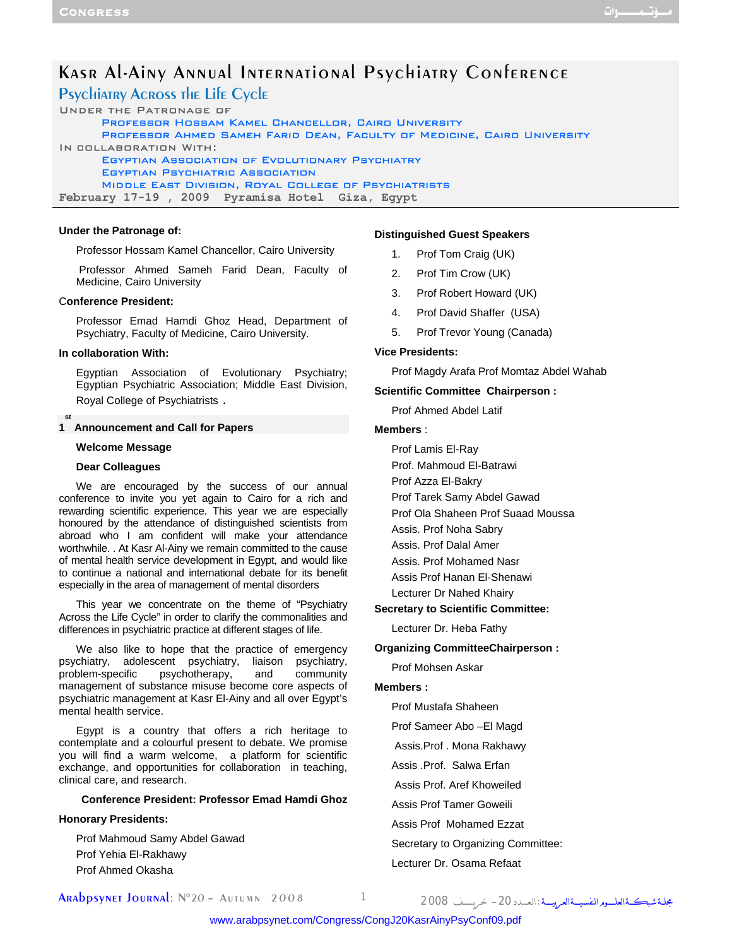# Kasr Al-Ainy Annual International Psychiatry Conference

Psychiatry Across the Life Cycle

Under the Patronage of Professor Hossam Kamel Chancellor, Cairo University Professor Ahmed Sameh Farid Dean, Faculty of Medicine, Cairo University In collaboration With: Egyptian Association of Evolutionary Psychiatry Egyptian Psychiatric Association Middle East Division, Royal College of Psychiatrists **February 17-19 , 2009 Pyramisa Hotel Giza, Egypt** 

## **Under the Patronage of:**

Professor Hossam Kamel Chancellor, Cairo University

 Professor Ahmed Sameh Farid Dean, Faculty of Medicine, Cairo University

## C**onference President:**

Professor Emad Hamdi Ghoz Head, Department of Psychiatry, Faculty of Medicine, Cairo University.

#### **In collaboration With:**

Egyptian Association of Evolutionary Psychiatry; Egyptian Psychiatric Association; Middle East Division, Royal College of Psychiatrists .

#### **1 Announcement and Call for Papers st**

#### **Welcome Message**

## **Dear Colleagues**

We are encouraged by the success of our annual conference to invite you yet again to Cairo for a rich and rewarding scientific experience. This year we are especially honoured by the attendance of distinguished scientists from abroad who I am confident will make your attendance worthwhile. . At Kasr Al-Ainy we remain committed to the cause of mental health service development in Egypt, and would like to continue a national and international debate for its benefit especially in the area of management of mental disorders

This year we concentrate on the theme of "Psychiatry Across the Life Cycle" in order to clarify the commonalities and differences in psychiatric practice at different stages of life.

We also like to hope that the practice of emergency psychiatry, adolescent psychiatry, liaison psychiatry, problem-specific psychotherapy, and community management of substance misuse become core aspects of psychiatric management at Kasr El-Ainy and all over Egypt's mental health service.

Egypt is a country that offers a rich heritage to contemplate and a colourful present to debate. We promise you will find a warm welcome, a platform for scientific exchange, and opportunities for collaboration in teaching, clinical care, and research.

#### **Conference President: Professor Emad Hamdi Ghoz**

#### **Honorary Presidents:**

Prof Mahmoud Samy Abdel Gawad Prof Yehia El-Rakhawy Prof Ahmed Okasha

### **Distinguished Guest Speakers**

- 1. Prof Tom Craig (UK)
- 2. Prof Tim Crow (UK)
- 3. Prof Robert Howard (UK)
- 4. Prof David Shaffer (USA)
- 5. Prof Trevor Young (Canada)

#### **Vice Presidents:**

Prof Magdy Arafa Prof Momtaz Abdel Wahab

#### **Scientific Committee Chairperson :**

Prof Ahmed Abdel Latif

#### **Members** :

Prof Lamis El-Ray

- Prof. Mahmoud El-Batrawi
- Prof Azza El-Bakry
- Prof Tarek Samy Abdel Gawad
- Prof Ola Shaheen Prof Suaad Moussa
- Assis. Prof Noha Sabry
- Assis. Prof Dalal Amer
- Assis. Prof Mohamed Nasr
- Assis Prof Hanan El-Shenawi
- Lecturer Dr Nahed Khairy

## **Secretary to Scientific Committee:**

Lecturer Dr. Heba Fathy

#### **Organizing CommitteeChairperson :**

## Prof Mohsen Askar

## **Members :**

Prof Mustafa Shaheen

- Prof Sameer Abo –El Magd
- Assis.Prof . Mona Rakhawy
- Assis .Prof. Salwa Erfan
- Assis Prof. Aref Khoweiled
- Assis Prof Tamer Goweili
- Assis Prof Mohamed Ezzat
- Secretary to Organizing Committee:

#### Lecturer Dr. Osama Refaat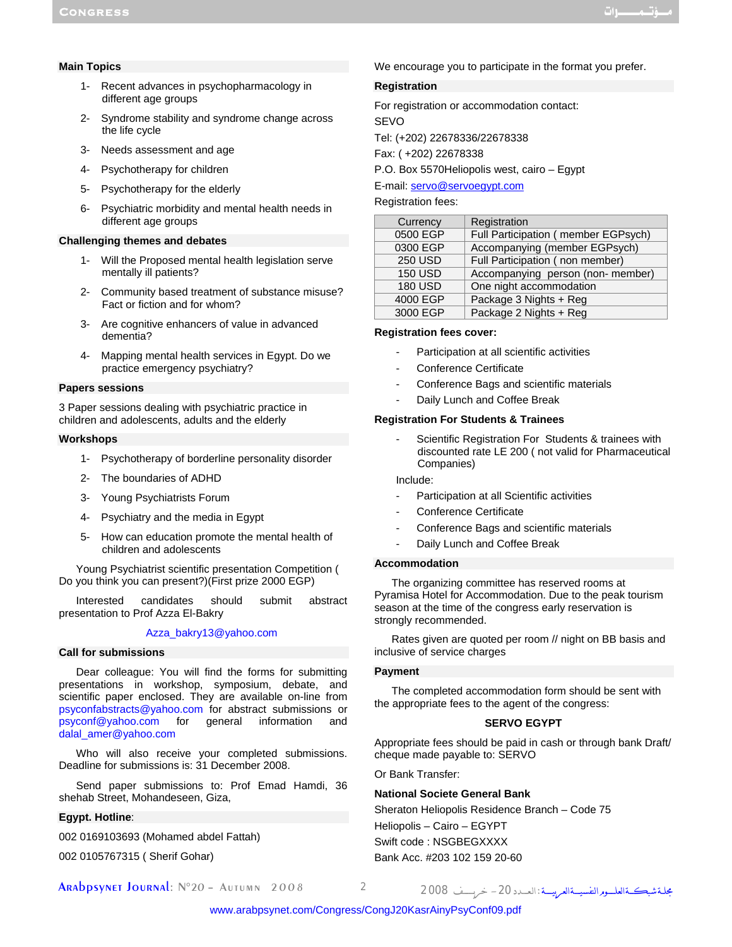## **Main Topics**

- 1- Recent advances in psychopharmacology in different age groups
- 2- Syndrome stability and syndrome change across the life cycle
- 3- Needs assessment and age
- 4- Psychotherapy for children
- 5- Psychotherapy for the elderly
- 6- Psychiatric morbidity and mental health needs in different age groups

## **Challenging themes and debates**

- 1- Will the Proposed mental health legislation serve mentally ill patients?
- 2- Community based treatment of substance misuse? Fact or fiction and for whom?
- 3- Are cognitive enhancers of value in advanced dementia?
- 4- Mapping mental health services in Egypt. Do we practice emergency psychiatry?

## **Papers sessions**

3 Paper sessions dealing with psychiatric practice in children and adolescents, adults and the elderly

#### **Workshops**

- 1- Psychotherapy of borderline personality disorder
- 2- The boundaries of ADHD
- 3- Young Psychiatrists Forum
- 4- Psychiatry and the media in Egypt
- 5- How can education promote the mental health of children and adolescents

Young Psychiatrist scientific presentation Competition ( Do you think you can present?)(First prize 2000 EGP)

Interested candidates should submit abstract presentation to Prof Azza El-Bakry

## Azza\_bakry13@yahoo.com

## **Call for submissions**

Dear colleague: You will find the forms for submitting presentations in workshop, symposium, debate, and scientific paper enclosed. They are available on-line from psyconfabstracts@yahoo.com for abstract submissions or psyconf@yahoo.com for general information and dalal\_amer@yahoo.com

Who will also receive your completed submissions. Deadline for submissions is: 31 December 2008.

Send paper submissions to: Prof Emad Hamdi, 36 shehab Street, Mohandeseen, Giza,

## **Egypt. Hotline**:

002 0169103693 (Mohamed abdel Fattah)

002 0105767315 ( Sherif Gohar)

We encourage you to participate in the format you prefer.

### **Registration**

For registration or accommodation contact:

SEVO

Tel: (+202) 22678336/22678338

Fax: ( +202) 22678338

P.O. Box 5570Heliopolis west, cairo – Egypt

E-mail: servo@servoegypt.com

## Registration fees:

| Currency       | Registration                        |
|----------------|-------------------------------------|
| 0500 EGP       | Full Participation (member EGPsych) |
| 0300 EGP       | Accompanying (member EGPsych)       |
| <b>250 USD</b> | Full Participation (non member)     |
| <b>150 USD</b> | Accompanying person (non-member)    |
| <b>180 USD</b> | One night accommodation             |
| 4000 EGP       | Package 3 Nights + Reg              |
| 3000 EGP       | Package 2 Nights + Reg              |

## **Registration fees cover:**

- Participation at all scientific activities
- Conference Certificate
- Conference Bags and scientific materials
- Daily Lunch and Coffee Break

## **Registration For Students & Trainees**

Scientific Registration For Students & trainees with discounted rate LE 200 ( not valid for Pharmaceutical Companies)

Include:

- Participation at all Scientific activities
- Conference Certificate
- Conference Bags and scientific materials
- Daily Lunch and Coffee Break

#### **Accommodation**

The organizing committee has reserved rooms at Pyramisa Hotel for Accommodation. Due to the peak tourism season at the time of the congress early reservation is strongly recommended.

Rates given are quoted per room // night on BB basis and inclusive of service charges

#### **Payment**

The completed accommodation form should be sent with the appropriate fees to the agent of the congress:

## **SERVO EGYPT**

Appropriate fees should be paid in cash or through bank Draft/ cheque made payable to: SERVO

Or Bank Transfer:

## **National Societe General Bank**

Sheraton Heliopolis Residence Branch – Code 75 Heliopolis – Cairo – EGYPT Swift code : NSGBEGXXXX Bank Acc. #203 102 159 20-60